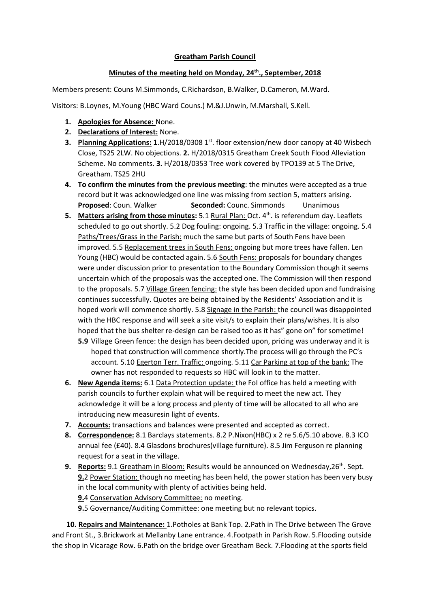## **Greatham Parish Council**

## **Minutes of the meeting held on Monday, 24th., September, 2018**

Members present: Couns M.Simmonds, C.Richardson, B.Walker, D.Cameron, M.Ward.

Visitors: B.Loynes, M.Young (HBC Ward Couns.) M.&J.Unwin, M.Marshall, S.Kell.

- **1. Apologies for Absence:** None.
- **2. Declarations of Interest:** None.
- **3. Planning Applications: 1.H/2018/0308 1st. floor extension/new door canopy at 40 Wisbech** Close, TS25 2LW. No objections. **2.** H/2018/0315 Greatham Creek South Flood Alleviation Scheme. No comments. **3.** H/2018/0353 Tree work covered by TPO139 at 5 The Drive, Greatham. TS25 2HU
- **4. To confirm the minutes from the previous meeting**: the minutes were accepted as a true record but it was acknowledged one line was missing from section 5, matters arising. **Proposed**: Coun. Walker **Seconded:** Counc. Simmonds Unanimous
- **5.** Matters arising from those minutes: 5.1 Rural Plan: Oct. 4<sup>th</sup>. is referendum day. Leaflets scheduled to go out shortly. 5.2 Dog fouling: ongoing. 5.3 Traffic in the village: ongoing. 5.4 Paths/Trees/Grass in the Parish: much the same but parts of South Fens have been improved. 5.5 Replacement trees in South Fens: ongoing but more trees have fallen. Len Young (HBC) would be contacted again. 5.6 South Fens: proposals for boundary changes were under discussion prior to presentation to the Boundary Commission though it seems uncertain which of the proposals was the accepted one. The Commission will then respond to the proposals. 5.7 Village Green fencing: the style has been decided upon and fundraising continues successfully. Quotes are being obtained by the Residents' Association and it is hoped work will commence shortly. 5.8 Signage in the Parish: the council was disappointed with the HBC response and will seek a site visit/s to explain their plans/wishes. It is also hoped that the bus shelter re-design can be raised too as it has" gone on" for sometime!
	- **5.9** Village Green fence: the design has been decided upon, pricing was underway and it is hoped that construction will commence shortly.The process will go through the PC's account. 5.10 Egerton Terr. Traffic: ongoing. 5.11 Car Parking at top of the bank: The owner has not responded to requests so HBC will look in to the matter.
- **6. New Agenda items:** 6.1 Data Protection update: the FoI office has held a meeting with parish councils to further explain what will be required to meet the new act. They acknowledge it will be a long process and plenty of time will be allocated to all who are introducing new measuresin light of events.
- **7. Accounts:** transactions and balances were presented and accepted as correct.
- **8. Correspondence:** 8.1 Barclays statements. 8.2 P.Nixon(HBC) x 2 re 5.6/5.10 above. 8.3 ICO annual fee (£40). 8.4 Glasdons brochures(village furniture). 8.5 Jim Ferguson re planning request for a seat in the village.
- **9. Reports:** 9.1 Greatham in Bloom: Results would be announced on Wednesday,26th. Sept. **9.**2 Power Station: though no meeting has been held, the power station has been very busy in the local community with plenty of activities being held. **9.**4 Conservation Advisory Committee: no meeting. **9.**5 Governance/Auditing Committee: one meeting but no relevant topics.

 **10. Repairs and Maintenance:** 1.Potholes at Bank Top. 2.Path in The Drive between The Grove and Front St., 3.Brickwork at Mellanby Lane entrance. 4.Footpath in Parish Row. 5.Flooding outside the shop in Vicarage Row. 6.Path on the bridge over Greatham Beck. 7.Flooding at the sports field